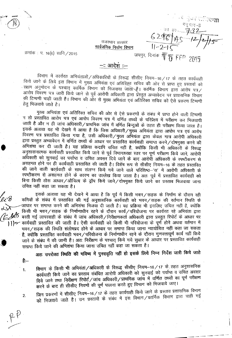$rac{33}{2}$  are  $rac{1}{2}$  32 जयपुर, दिनांक **के** *शु* **FFD** 2015

राजस्थान सरकार <u>सार्वजनिक निर्माण विमाग</u>

क्रमांक : प. 16(6) सानि */* 2015

## \_\_<u>. आदेश</u>ं ::\_

l9मार्ग में कार्यरत आभयताओं/अधिकारियों के विरूद्ध सीसीए नियम–16/17 के तहत कार्यवाही<br>ने ने निर्माण किये जाने के लिये इस विभाग में मुख्य अभियंता एवं अतिरिक्त सचिव की ओर से प्राप्त हुए प्रस्तावों को ापय जांग के तिय इस विभाग में मुख्य अभियता एवं अतिरिक्त सचिव की ओर से प्राप्त हुए प्रस्तावों व<br>-सक्षम अनुमोदन के पश्चात् कार्मिक विभाग को भिजवाया जातों\है। कार्मिक विभाग द्वारा आरोप पत्र<br>-अणेप विदुल्गा एवं उपनी नियों करें आरोप विवरण पत्र जारी किये जाने से पूर्व आरोपी अधिकारी द्वारा प्रेस्तुत अभ्यावेदन पर प्रशासनिक विभाग की टिप्पणी चाही जाती है। विभाग की ओर से मुख्य अभियंता एवं अतिरिक्त सचिव को ऐसे प्रकरण टिप्पणी हेत भिजवाये जाते है।

मुख्य अभियंता एवं अतिरिक्त सचिव की ओर से ऐसे प्रकरणों के संबंध में प्राप्त होने वाली टिप्पणी<br>उत्तरीय शारोप जन नां :::: . ने तो प्रस्तावित आरोप पत्र एवं आरोप विवरण पत्र में वर्णित तथ्यों के परिप्रेक्ष्य में परीक्षण कर ~ ~ 3iR ~ ~ \Jltq ~ /~ vrfcJ if qfUffi ~3lT \* ~ ~tRta=JUT fcRrr \iffiIT <sup>~</sup> <sup>i</sup> इसके अलावा यह भी देखने में आया है कि जिस अधिकारी/मुख्य अभियंता द्वारा आरोप पत्र एवं आरोप विवरण पत्र प्रस्तावित किया गया है, उसी अधिकारी/मुख्य अभियंता द्वारा केवल मात्र आरोपी अधिकारी द्वारा प्रस्तुत अभ्यावेदन में वर्णित तथ्यों के आधार पर प्रस्तावित कार्यवाही समाप्त करने ⁄ दोषमुक्त करने की अभिशंषा कर दी जाती है। यह प्रक्रिया कदापि उचित नहीं है, क्योंकि किसी भी अधिकारी के विरूद्ध अनुशासनात्मक कार्यवाही प्रस्तावित किये जाने से पूर्व विभागाध्यक्ष स्तर पर पूर्ण परीक्षण किये जाने, आरोपी न्नुसारी पर कार्यवाल प्रस्तावत किंव जान से पूर्व विमागाध्यक्ष स्तर पर पूर्ण पराक्षण किये जान, आरोप<br>अधिकारी को सुनवाई का पर्याप्त व उचित अवसर दिये जाने के बाद आरोपी अधिकारी के स्पष्टीकरण रे जाययगरा का सुनवाई का पंचार्या व डायत अवसर दिये जाने के बाद आरापा आधकारा के स्पष्टीकरण स<br>असहमत होने पर ही कार्यवाही प्रस्तावित की जाती है। विशेष रूप से सीसीए नियम–16 के तहत प्रस्तावित्<br>प्री नार्च नार्क नार्च की जे ¢T \ifR ~ CfJI4cII~ \* ~ ~ fit<) <sup>~</sup> urR <sup>~</sup> qR~It.'d '\1' if <sup>~</sup> <sup>~</sup> \* <sup>का जान</sup> वाली कीयवाही के साथ सत्नग्न किये गये जाने वाले परिशिष्ट—'स' में आरोपी अधिकारी के<br>स्पष्टीकरण से असहमत होने के कारण का उल्लेख किया जाता है। अतः पूर्व में प्रस्तावित कार्यवाही को स्वचावरण से जसल्मत होने के कारण का उल्लेख किया जाता है। अंतः पूर्व में प्रस्तावित कार्यवाही का<br>बिना किसी ठोस आधार/औचित्य के ड्रॉप किये जाने/दोषमुक्त किये जाने का प्रस्ताव भिजवाया जाना उचित नहीं कहा जा सकता है।

;: . <sup>~</sup> 3TffiCIT <sup>~</sup> '4T <sup>~</sup> -sf 3WIT <sup>~</sup> fcp <sup>~</sup> it fcIm) 1fCJ1/~ \* f.il:rTuT \* GRR ~ '..el'<sup>g</sup> <sup>~</sup> \* ~ -sf !:I«Ilfcld qft <sup>~</sup> 3lj~IIf1P1Ch CfjI4C116"'l <PT 'l1CFf /~ qft <sup>~</sup> <sup>~</sup> \* لمستشرف المستشرف المستشرف المستشرف المستشرف المستشرف المستشرف المستشرف المستشرف المستشرف المستشرف المستشرف المس<br>وستر المستشرف المستشرف المستشرف المستشرف المستشرف المستشرف المستشرف المستشرف المستشرف المستشرف المستشرف المست . <sup>~</sup> '4T 11<Ff/~ \* ~ ~ \* <sup>~</sup> q)f7j/qRq'I\J1'i1 qx <sup>~</sup> <sup>~</sup> <sup>~</sup> &m *(j:;:.jJ/t5* ffl <sup>~</sup> C'llqxClI~ क के मनागायान रहेने के दारान कार्य पारयाजना पर कायरत रहे आनंबता द्वार<br>के संबंध में जांच अधिकारी / निरीक्षणकर्ता अधिकारी द्वारा प्रस्तुत रिपोर्ट के आधार प ∕ • । रूप पर बरता गई लापरवाहा के सबंध में जाय आधकारा निराक्षणकर्ता आधकारा द्वारा प्रस्तुत गरपाट के आधार पर<br>) | | • कार्यवाही प्रस्तावित की जाती है। ऐसी कार्यवाही को किसी भी परियोजना के पूर्ण होने अथवा वर्तमान में काववाहा प्रस्ताावत का जाता है। एसा काववाहा का किसा मा पारवाजना के पूर्ण होने अववा वतन<br>भवन / सड़क की स्थिति संतोषप्रद होने के आधार पर समाप्त किया जाना न्यायोचित नहीं कहा जा र . मवन / सड़क का स्थात सतापप्रद हान के आधार पर समाप्त किया जाना न्यायाचित नहीं कहा जो संप<br>- है, क्योंकि प्रस्तावित कार्यवाही भवन / परियोजना के निर्माणाधीन रहने के दौरान गुणवत्तापूर्ण कार्य नहीं बि A· <sup>~</sup> -\$ <sup>~</sup> -sf ctT \iIFfi <sup>~</sup> <sup>I</sup> 3ffi: f.1&Tur -\$ <sup>~</sup> fcl5il <sup>~</sup> <sup>~</sup> \* 31ltlR ~ SI«II ~d if)14ell§) .<br>समाप्त किये जाने की अभिशंषा किया जाना उचित नहीं कहा जा सकता है।

अतः उपरोक्त स्थिति की भविष्य में पुनरावृत्ति नहीं हो इसके लिये निम्न निर्देश जारी किये जाते

है:-

2.

•

विभाग के किसी भी अभियंता/अधिकारी के विरूद्ध सीसीए नियम-16/17 के तहत अनुशासनिक 1. विभाग के विस्ता भी आनंदता जानकारत के सरस्व सम्मार से मुनवाई को पर्याप्त व उचित अवसर कायवाहा किय जांने का प्रस्ताव तबावत जाराना जाननगरा का दुनगर<br>दिये जाने तथा निरीक्षण रिपोर्ट /जांच अधिकारी / प्राथमिक जांच में वर्णित तथ्यों का पूर्ण परीक्षण दिय जान तथा गिराबंध राजाटें जांचे जांचेनराई क्रमानिक का माना को मिजवाये जाए।<br>करने के बाद ही सीसीए नियमों की पूर्ण पालना करते हुए विभाग को भिजवाये जाए।

करने के बाद है। सारंग, से सारंग हैं।<br>जिन प्रकरणों में सीसीए नियम–16/17 के तहत कार्यवाही किये जाने के प्रस्ताव प्रशासनिक विभाग<br>संबंध करें में सीसीए नियम–16/17 के लंकर में उस विभाग (कार्मिक विभाग द्वारा चाही गई जिन प्रकरणों में सीसीए नियम–16/17 के तहत कार्यपाल किये जाने के प्रस्तान में जाएं.<br>को भिजवाये जाते हैं। उन प्रस्तावों के संबंध में इस विभाग ⁄ कार्मिक विभाग द्वारा चाही गई